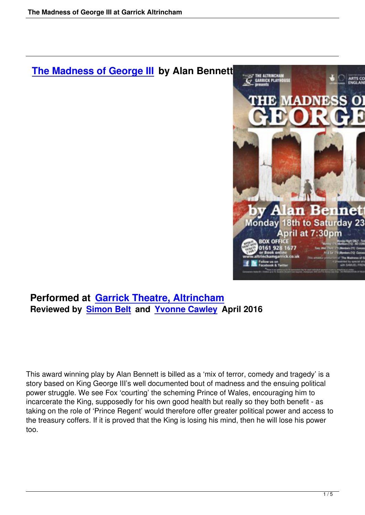## **The Madness of George III by Alan Bennett**



## **Performed at Garrick Theatre, Altrincham Reviewed by Simon Belt and Yvonne Cawley April 2016**

This award winning play by Alan Bennett is billed as a 'mix of terror, comedy and tragedy' is a story based on King George III's well documented bout of madness and the ensuing political power struggle. We see Fox 'courting' the scheming Prince of Wales, encouraging him to incarcerate the King, supposedly for his own good health but really so they both benefit - as taking on the role of 'Prince Regent' would therefore offer greater political power and access to the treasury coffers. If it is proved that the King is losing his mind, then he will lose his power too.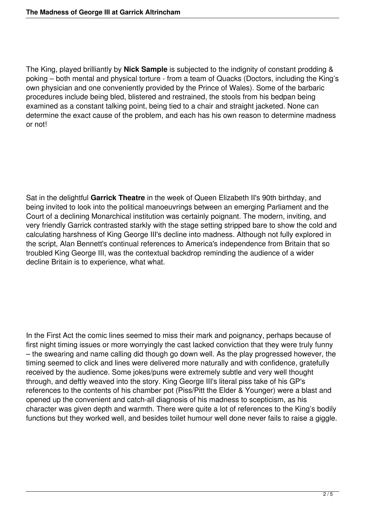The King, played brilliantly by **Nick Sample** is subjected to the indignity of constant prodding & poking – both mental and physical torture - from a team of Quacks (Doctors, including the King's own physician and one conveniently provided by the Prince of Wales). Some of the barbaric procedures include being bled, blistered and restrained, the stools from his bedpan being examined as a constant talking point, being tied to a chair and straight jacketed. None can determine the exact cause of the problem, and each has his own reason to determine madness or not!

Sat in the delightful **Garrick Theatre** in the week of Queen Elizabeth II's 90th birthday, and being invited to look into the political manoeuvrings between an emerging Parliament and the Court of a declining Monarchical institution was certainly poignant. The modern, inviting, and very friendly Garrick contrasted starkly with the stage setting stripped bare to show the cold and calculating harshness of King George III's decline into madness. Although not fully explored in the script, Alan Bennett's continual references to America's independence from Britain that so troubled King George III, was the contextual backdrop reminding the audience of a wider decline Britain is to experience, what what.

In the First Act the comic lines seemed to miss their mark and poignancy, perhaps because of first night timing issues or more worryingly the cast lacked conviction that they were truly funny – the swearing and name calling did though go down well. As the play progressed however, the timing seemed to click and lines were delivered more naturally and with confidence, gratefully received by the audience. Some jokes/puns were extremely subtle and very well thought through, and deftly weaved into the story. King George III's literal piss take of his GP's references to the contents of his chamber pot (Piss/Pitt the Elder & Younger) were a blast and opened up the convenient and catch-all diagnosis of his madness to scepticism, as his character was given depth and warmth. There were quite a lot of references to the King's bodily functions but they worked well, and besides toilet humour well done never fails to raise a giggle.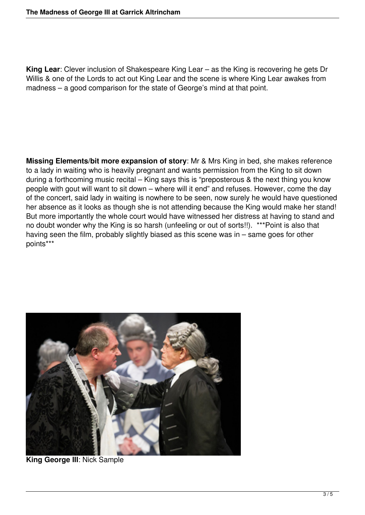**King Lear**: Clever inclusion of Shakespeare King Lear – as the King is recovering he gets Dr Willis & one of the Lords to act out King Lear and the scene is where King Lear awakes from madness – a good comparison for the state of George's mind at that point.

**Missing Elements/bit more expansion of story**: Mr & Mrs King in bed, she makes reference to a lady in waiting who is heavily pregnant and wants permission from the King to sit down during a forthcoming music recital – King says this is "preposterous & the next thing you know people with gout will want to sit down – where will it end" and refuses. However, come the day of the concert, said lady in waiting is nowhere to be seen, now surely he would have questioned her absence as it looks as though she is not attending because the King would make her stand! But more importantly the whole court would have witnessed her distress at having to stand and no doubt wonder why the King is so harsh (unfeeling or out of sorts!!). \*\*\*Point is also that having seen the film, probably slightly biased as this scene was in – same goes for other points\*\*\*



**King George III**: Nick Sample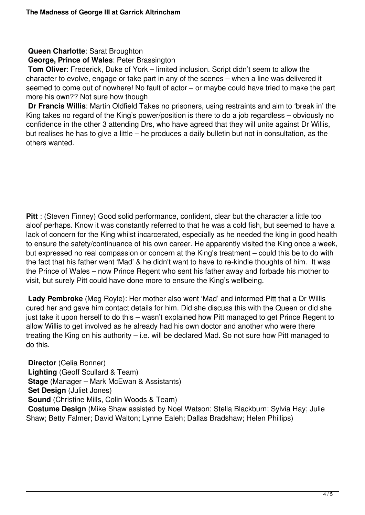## **Queen Charlotte**: Sarat Broughton

## **George, Prince of Wales**: Peter Brassington

**Tom Oliver:** Frederick, Duke of York – limited inclusion. Script didn't seem to allow the character to evolve, engage or take part in any of the scenes – when a line was delivered it seemed to come out of nowhere! No fault of actor – or maybe could have tried to make the part more his own?? Not sure how though

**Dr Francis Willis**: Martin Oldfield Takes no prisoners, using restraints and aim to 'break in' the King takes no regard of the King's power/position is there to do a job regardless – obviously no confidence in the other 3 attending Drs, who have agreed that they will unite against Dr Willis, but realises he has to give a little – he produces a daily bulletin but not in consultation, as the others wanted.

**Pitt** : (Steven Finney) Good solid performance, confident, clear but the character a little too aloof perhaps. Know it was constantly referred to that he was a cold fish, but seemed to have a lack of concern for the King whilst incarcerated, especially as he needed the king in good health to ensure the safety/continuance of his own career. He apparently visited the King once a week, but expressed no real compassion or concern at the King's treatment – could this be to do with the fact that his father went 'Mad' & he didn't want to have to re-kindle thoughts of him. It was the Prince of Wales – now Prince Regent who sent his father away and forbade his mother to visit, but surely Pitt could have done more to ensure the King's wellbeing.

**Lady Pembroke** (Meg Royle): Her mother also went 'Mad' and informed Pitt that a Dr Willis cured her and gave him contact details for him. Did she discuss this with the Queen or did she just take it upon herself to do this – wasn't explained how Pitt managed to get Prince Regent to allow Willis to get involved as he already had his own doctor and another who were there treating the King on his authority – i.e. will be declared Mad. So not sure how Pitt managed to do this.

**Director** (Celia Bonner) **Lighting** (Geoff Scullard & Team) **Stage** (Manager – Mark McEwan & Assistants) **Set Design** (Juliet Jones) **Sound** (Christine Mills, Colin Woods & Team) **Costume Design** (Mike Shaw assisted by Noel Watson; Stella Blackburn; Sylvia Hay; Julie Shaw; Betty Falmer; David Walton; Lynne Ealeh; Dallas Bradshaw; Helen Phillips)